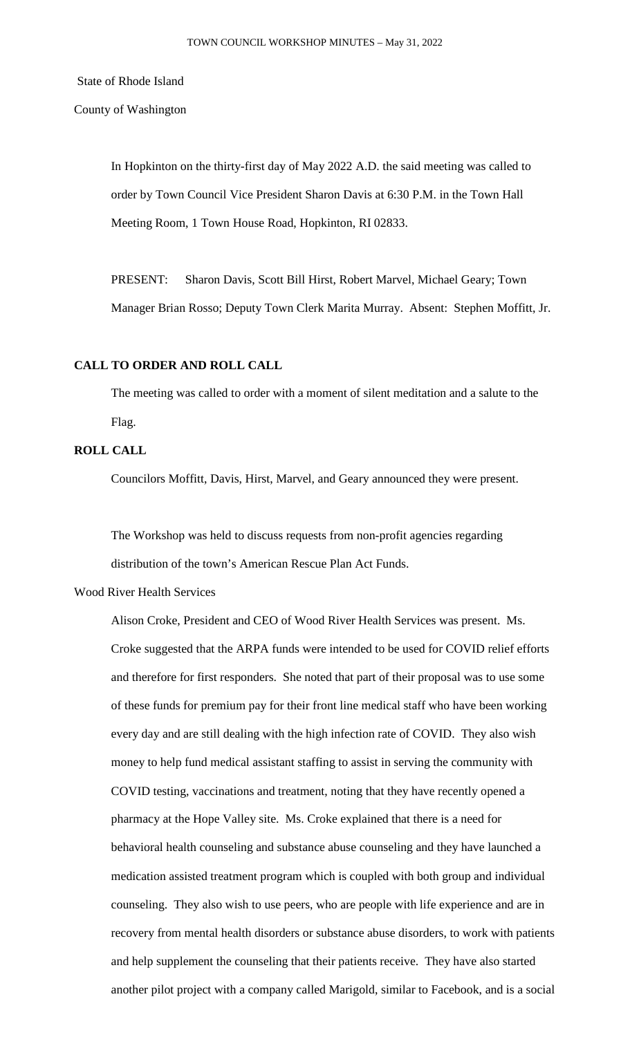State of Rhode Island

County of Washington

In Hopkinton on the thirty-first day of May 2022 A.D. the said meeting was called to order by Town Council Vice President Sharon Davis at 6:30 P.M. in the Town Hall Meeting Room, 1 Town House Road, Hopkinton, RI 02833.

PRESENT: Sharon Davis, Scott Bill Hirst, Robert Marvel, Michael Geary; Town Manager Brian Rosso; Deputy Town Clerk Marita Murray. Absent: Stephen Moffitt, Jr.

## **CALL TO ORDER AND ROLL CALL**

The meeting was called to order with a moment of silent meditation and a salute to the Flag.

# **ROLL CALL**

Councilors Moffitt, Davis, Hirst, Marvel, and Geary announced they were present.

The Workshop was held to discuss requests from non-profit agencies regarding distribution of the town's American Rescue Plan Act Funds.

# Wood River Health Services

Alison Croke, President and CEO of Wood River Health Services was present. Ms. Croke suggested that the ARPA funds were intended to be used for COVID relief efforts and therefore for first responders. She noted that part of their proposal was to use some of these funds for premium pay for their front line medical staff who have been working every day and are still dealing with the high infection rate of COVID. They also wish money to help fund medical assistant staffing to assist in serving the community with COVID testing, vaccinations and treatment, noting that they have recently opened a pharmacy at the Hope Valley site. Ms. Croke explained that there is a need for behavioral health counseling and substance abuse counseling and they have launched a medication assisted treatment program which is coupled with both group and individual counseling. They also wish to use peers, who are people with life experience and are in recovery from mental health disorders or substance abuse disorders, to work with patients and help supplement the counseling that their patients receive. They have also started another pilot project with a company called Marigold, similar to Facebook, and is a social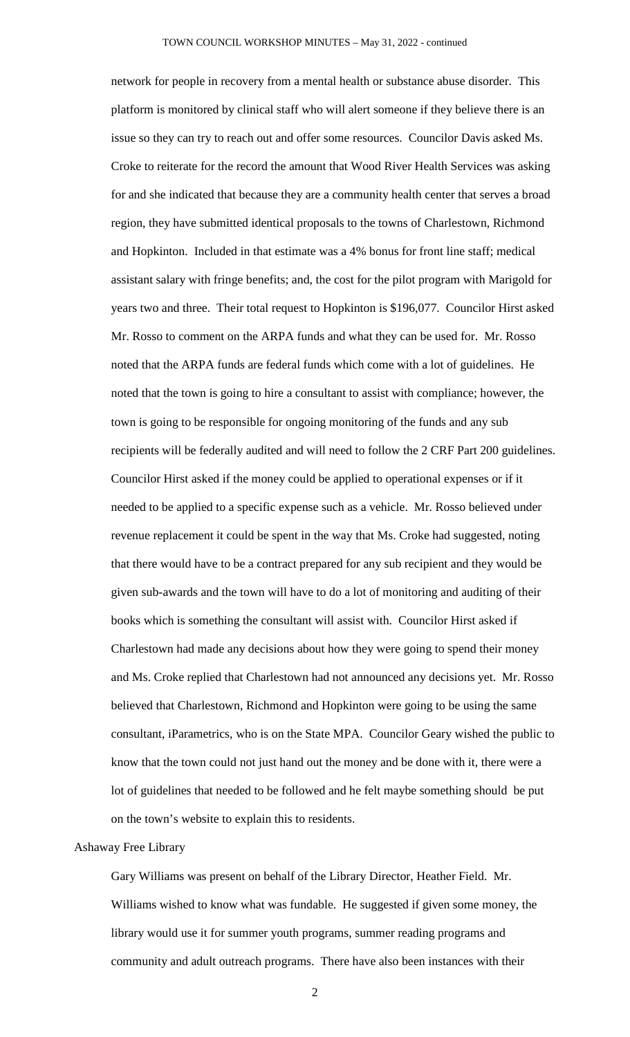network for people in recovery from a mental health or substance abuse disorder. This platform is monitored by clinical staff who will alert someone if they believe there is an issue so they can try to reach out and offer some resources. Councilor Davis asked Ms. Croke to reiterate for the record the amount that Wood River Health Services was asking for and she indicated that because they are a community health center that serves a broad region, they have submitted identical proposals to the towns of Charlestown, Richmond and Hopkinton. Included in that estimate was a 4% bonus for front line staff; medical assistant salary with fringe benefits; and, the cost for the pilot program with Marigold for years two and three. Their total request to Hopkinton is \$196,077. Councilor Hirst asked Mr. Rosso to comment on the ARPA funds and what they can be used for. Mr. Rosso noted that the ARPA funds are federal funds which come with a lot of guidelines. He noted that the town is going to hire a consultant to assist with compliance; however, the town is going to be responsible for ongoing monitoring of the funds and any sub recipients will be federally audited and will need to follow the 2 CRF Part 200 guidelines. Councilor Hirst asked if the money could be applied to operational expenses or if it needed to be applied to a specific expense such as a vehicle. Mr. Rosso believed under revenue replacement it could be spent in the way that Ms. Croke had suggested, noting that there would have to be a contract prepared for any sub recipient and they would be given sub-awards and the town will have to do a lot of monitoring and auditing of their books which is something the consultant will assist with. Councilor Hirst asked if Charlestown had made any decisions about how they were going to spend their money and Ms. Croke replied that Charlestown had not announced any decisions yet. Mr. Rosso believed that Charlestown, Richmond and Hopkinton were going to be using the same consultant, iParametrics, who is on the State MPA. Councilor Geary wished the public to know that the town could not just hand out the money and be done with it, there were a lot of guidelines that needed to be followed and he felt maybe something should be put on the town's website to explain this to residents.

#### Ashaway Free Library

Gary Williams was present on behalf of the Library Director, Heather Field. Mr. Williams wished to know what was fundable. He suggested if given some money, the library would use it for summer youth programs, summer reading programs and community and adult outreach programs. There have also been instances with their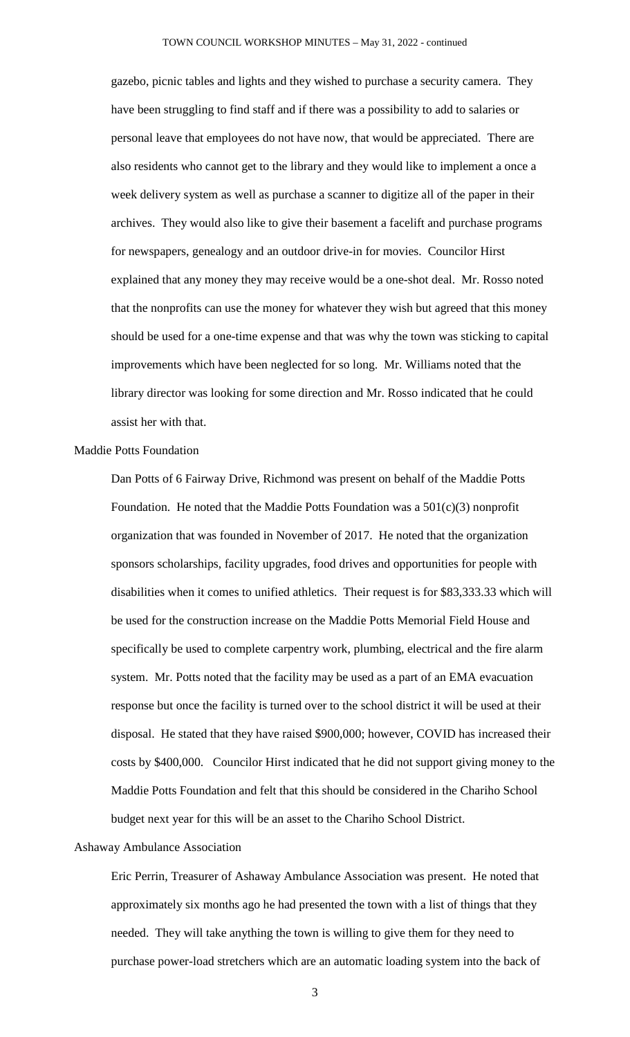gazebo, picnic tables and lights and they wished to purchase a security camera. They have been struggling to find staff and if there was a possibility to add to salaries or personal leave that employees do not have now, that would be appreciated. There are also residents who cannot get to the library and they would like to implement a once a week delivery system as well as purchase a scanner to digitize all of the paper in their archives. They would also like to give their basement a facelift and purchase programs for newspapers, genealogy and an outdoor drive-in for movies. Councilor Hirst explained that any money they may receive would be a one-shot deal. Mr. Rosso noted that the nonprofits can use the money for whatever they wish but agreed that this money should be used for a one-time expense and that was why the town was sticking to capital improvements which have been neglected for so long. Mr. Williams noted that the library director was looking for some direction and Mr. Rosso indicated that he could assist her with that.

### Maddie Potts Foundation

Dan Potts of 6 Fairway Drive, Richmond was present on behalf of the Maddie Potts Foundation. He noted that the Maddie Potts Foundation was a  $501(c)(3)$  nonprofit organization that was founded in November of 2017. He noted that the organization sponsors scholarships, facility upgrades, food drives and opportunities for people with disabilities when it comes to unified athletics. Their request is for \$83,333.33 which will be used for the construction increase on the Maddie Potts Memorial Field House and specifically be used to complete carpentry work, plumbing, electrical and the fire alarm system. Mr. Potts noted that the facility may be used as a part of an EMA evacuation response but once the facility is turned over to the school district it will be used at their disposal. He stated that they have raised \$900,000; however, COVID has increased their costs by \$400,000. Councilor Hirst indicated that he did not support giving money to the Maddie Potts Foundation and felt that this should be considered in the Chariho School budget next year for this will be an asset to the Chariho School District.

#### Ashaway Ambulance Association

Eric Perrin, Treasurer of Ashaway Ambulance Association was present. He noted that approximately six months ago he had presented the town with a list of things that they needed. They will take anything the town is willing to give them for they need to purchase power-load stretchers which are an automatic loading system into the back of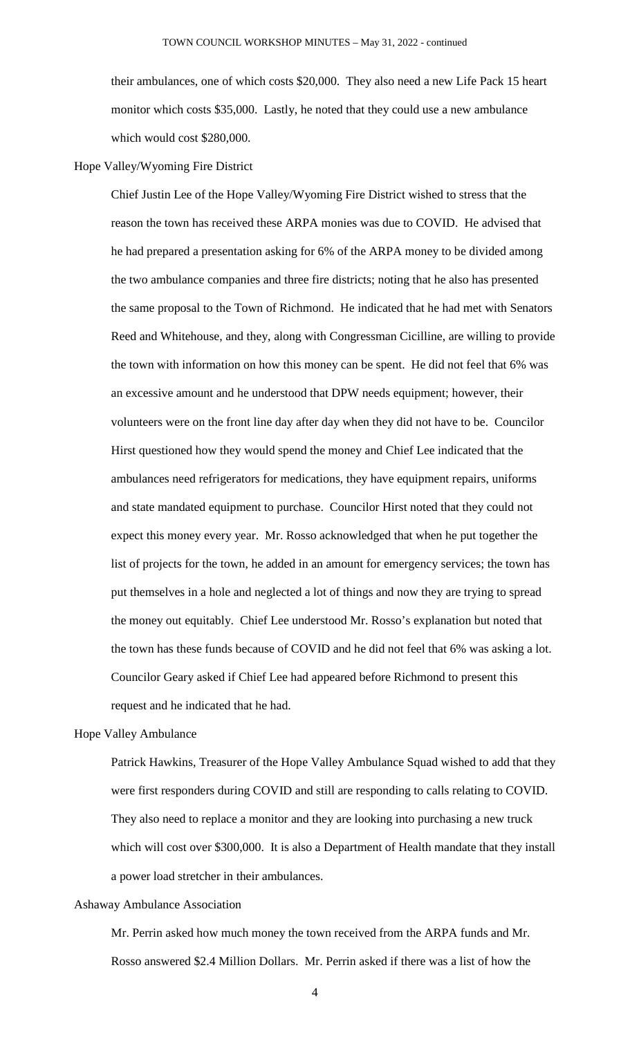their ambulances, one of which costs \$20,000. They also need a new Life Pack 15 heart monitor which costs \$35,000. Lastly, he noted that they could use a new ambulance which would cost \$280,000.

### Hope Valley/Wyoming Fire District

Chief Justin Lee of the Hope Valley/Wyoming Fire District wished to stress that the reason the town has received these ARPA monies was due to COVID. He advised that he had prepared a presentation asking for 6% of the ARPA money to be divided among the two ambulance companies and three fire districts; noting that he also has presented the same proposal to the Town of Richmond. He indicated that he had met with Senators Reed and Whitehouse, and they, along with Congressman Cicilline, are willing to provide the town with information on how this money can be spent. He did not feel that 6% was an excessive amount and he understood that DPW needs equipment; however, their volunteers were on the front line day after day when they did not have to be. Councilor Hirst questioned how they would spend the money and Chief Lee indicated that the ambulances need refrigerators for medications, they have equipment repairs, uniforms and state mandated equipment to purchase. Councilor Hirst noted that they could not expect this money every year. Mr. Rosso acknowledged that when he put together the list of projects for the town, he added in an amount for emergency services; the town has put themselves in a hole and neglected a lot of things and now they are trying to spread the money out equitably. Chief Lee understood Mr. Rosso's explanation but noted that the town has these funds because of COVID and he did not feel that 6% was asking a lot. Councilor Geary asked if Chief Lee had appeared before Richmond to present this request and he indicated that he had.

#### Hope Valley Ambulance

Patrick Hawkins, Treasurer of the Hope Valley Ambulance Squad wished to add that they were first responders during COVID and still are responding to calls relating to COVID. They also need to replace a monitor and they are looking into purchasing a new truck which will cost over \$300,000. It is also a Department of Health mandate that they install a power load stretcher in their ambulances.

#### Ashaway Ambulance Association

Mr. Perrin asked how much money the town received from the ARPA funds and Mr. Rosso answered \$2.4 Million Dollars. Mr. Perrin asked if there was a list of how the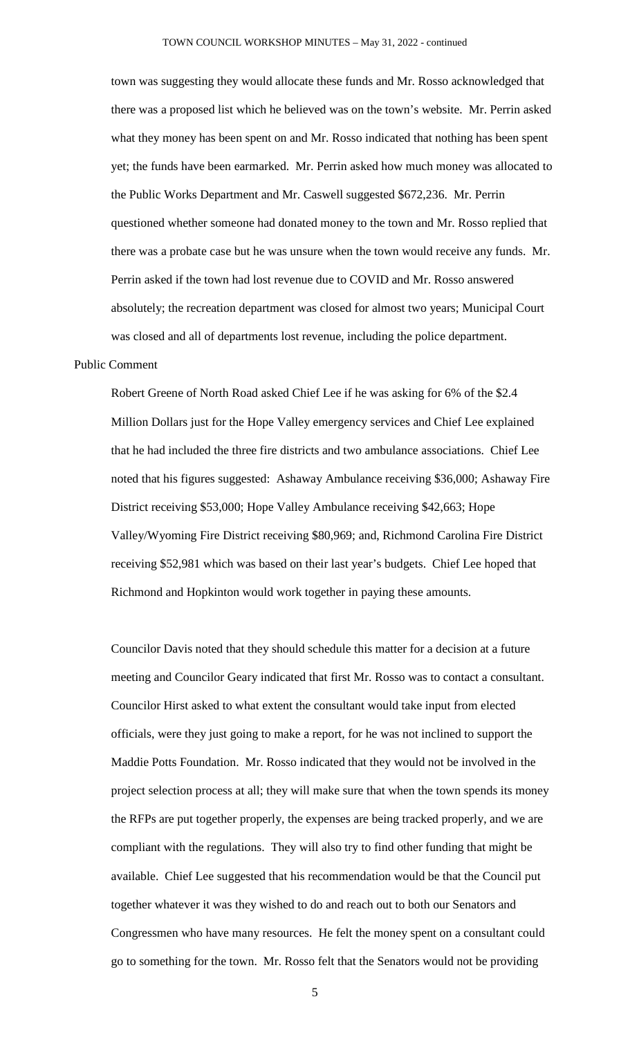town was suggesting they would allocate these funds and Mr. Rosso acknowledged that there was a proposed list which he believed was on the town's website. Mr. Perrin asked what they money has been spent on and Mr. Rosso indicated that nothing has been spent yet; the funds have been earmarked. Mr. Perrin asked how much money was allocated to the Public Works Department and Mr. Caswell suggested \$672,236. Mr. Perrin questioned whether someone had donated money to the town and Mr. Rosso replied that there was a probate case but he was unsure when the town would receive any funds. Mr. Perrin asked if the town had lost revenue due to COVID and Mr. Rosso answered absolutely; the recreation department was closed for almost two years; Municipal Court was closed and all of departments lost revenue, including the police department.

### Public Comment

Robert Greene of North Road asked Chief Lee if he was asking for 6% of the \$2.4 Million Dollars just for the Hope Valley emergency services and Chief Lee explained that he had included the three fire districts and two ambulance associations. Chief Lee noted that his figures suggested: Ashaway Ambulance receiving \$36,000; Ashaway Fire District receiving \$53,000; Hope Valley Ambulance receiving \$42,663; Hope Valley/Wyoming Fire District receiving \$80,969; and, Richmond Carolina Fire District receiving \$52,981 which was based on their last year's budgets. Chief Lee hoped that Richmond and Hopkinton would work together in paying these amounts.

Councilor Davis noted that they should schedule this matter for a decision at a future meeting and Councilor Geary indicated that first Mr. Rosso was to contact a consultant. Councilor Hirst asked to what extent the consultant would take input from elected officials, were they just going to make a report, for he was not inclined to support the Maddie Potts Foundation. Mr. Rosso indicated that they would not be involved in the project selection process at all; they will make sure that when the town spends its money the RFPs are put together properly, the expenses are being tracked properly, and we are compliant with the regulations. They will also try to find other funding that might be available. Chief Lee suggested that his recommendation would be that the Council put together whatever it was they wished to do and reach out to both our Senators and Congressmen who have many resources. He felt the money spent on a consultant could go to something for the town. Mr. Rosso felt that the Senators would not be providing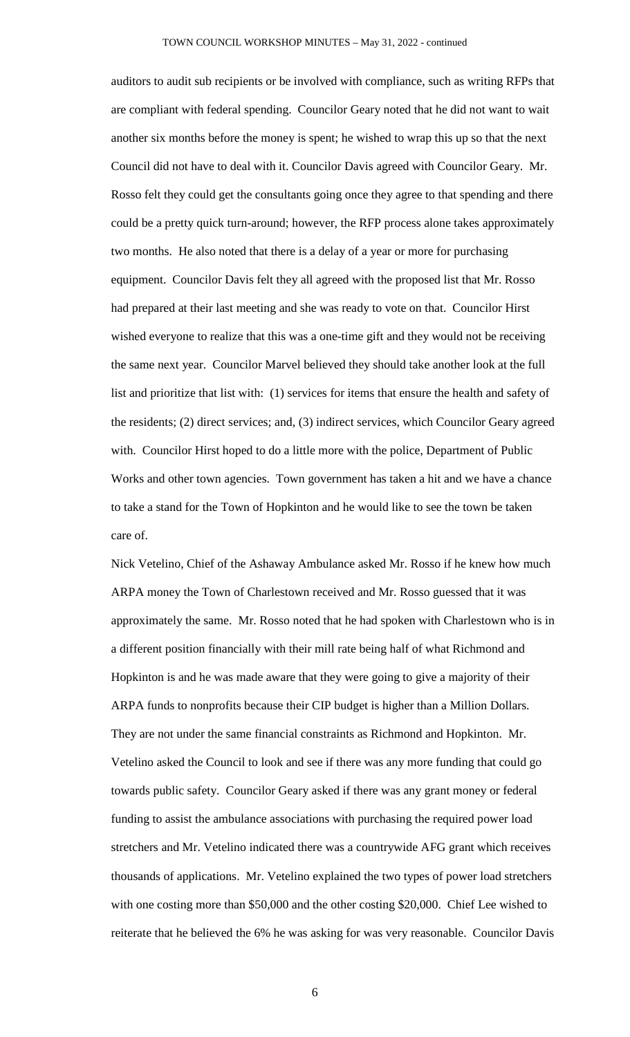auditors to audit sub recipients or be involved with compliance, such as writing RFPs that are compliant with federal spending. Councilor Geary noted that he did not want to wait another six months before the money is spent; he wished to wrap this up so that the next Council did not have to deal with it. Councilor Davis agreed with Councilor Geary. Mr. Rosso felt they could get the consultants going once they agree to that spending and there could be a pretty quick turn-around; however, the RFP process alone takes approximately two months. He also noted that there is a delay of a year or more for purchasing equipment. Councilor Davis felt they all agreed with the proposed list that Mr. Rosso had prepared at their last meeting and she was ready to vote on that. Councilor Hirst wished everyone to realize that this was a one-time gift and they would not be receiving the same next year. Councilor Marvel believed they should take another look at the full list and prioritize that list with: (1) services for items that ensure the health and safety of the residents; (2) direct services; and, (3) indirect services, which Councilor Geary agreed with. Councilor Hirst hoped to do a little more with the police, Department of Public Works and other town agencies. Town government has taken a hit and we have a chance to take a stand for the Town of Hopkinton and he would like to see the town be taken care of.

Nick Vetelino, Chief of the Ashaway Ambulance asked Mr. Rosso if he knew how much ARPA money the Town of Charlestown received and Mr. Rosso guessed that it was approximately the same. Mr. Rosso noted that he had spoken with Charlestown who is in a different position financially with their mill rate being half of what Richmond and Hopkinton is and he was made aware that they were going to give a majority of their ARPA funds to nonprofits because their CIP budget is higher than a Million Dollars. They are not under the same financial constraints as Richmond and Hopkinton. Mr. Vetelino asked the Council to look and see if there was any more funding that could go towards public safety. Councilor Geary asked if there was any grant money or federal funding to assist the ambulance associations with purchasing the required power load stretchers and Mr. Vetelino indicated there was a countrywide AFG grant which receives thousands of applications. Mr. Vetelino explained the two types of power load stretchers with one costing more than \$50,000 and the other costing \$20,000. Chief Lee wished to reiterate that he believed the 6% he was asking for was very reasonable. Councilor Davis